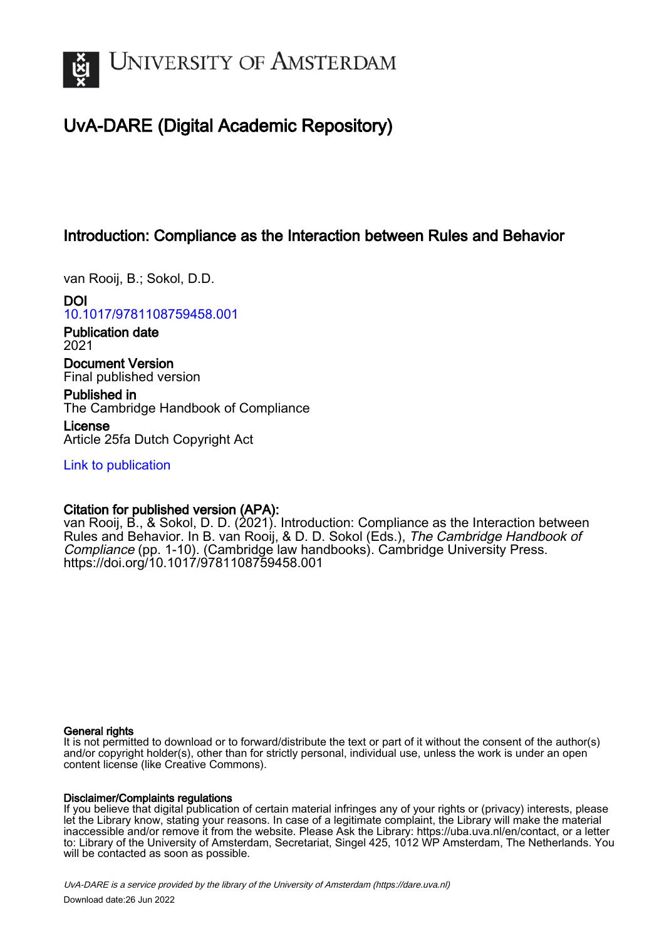

# UvA-DARE (Digital Academic Repository)

## Introduction: Compliance as the Interaction between Rules and Behavior

van Rooij, B.; Sokol, D.D.

DOI [10.1017/9781108759458.001](https://doi.org/10.1017/9781108759458.001)

Publication date 2021

Document Version Final published version

Published in The Cambridge Handbook of Compliance

License Article 25fa Dutch Copyright Act

[Link to publication](https://dare.uva.nl/personal/pure/en/publications/introduction-compliance-as-the-interaction-between-rules-and-behavior(a021c1bd-9fec-4ff0-8bb4-f11f8d95694c).html)

### Citation for published version (APA):

van Rooij, B., & Sokol, D. D. (2021). Introduction: Compliance as the Interaction between Rules and Behavior. In B. van Rooij, & D. D. Sokol (Eds.), The Cambridge Handbook of Compliance (pp. 1-10). (Cambridge law handbooks). Cambridge University Press. <https://doi.org/10.1017/9781108759458.001>

#### General rights

It is not permitted to download or to forward/distribute the text or part of it without the consent of the author(s) and/or copyright holder(s), other than for strictly personal, individual use, unless the work is under an open content license (like Creative Commons).

#### Disclaimer/Complaints regulations

If you believe that digital publication of certain material infringes any of your rights or (privacy) interests, please let the Library know, stating your reasons. In case of a legitimate complaint, the Library will make the material inaccessible and/or remove it from the website. Please Ask the Library: https://uba.uva.nl/en/contact, or a letter to: Library of the University of Amsterdam, Secretariat, Singel 425, 1012 WP Amsterdam, The Netherlands. You will be contacted as soon as possible.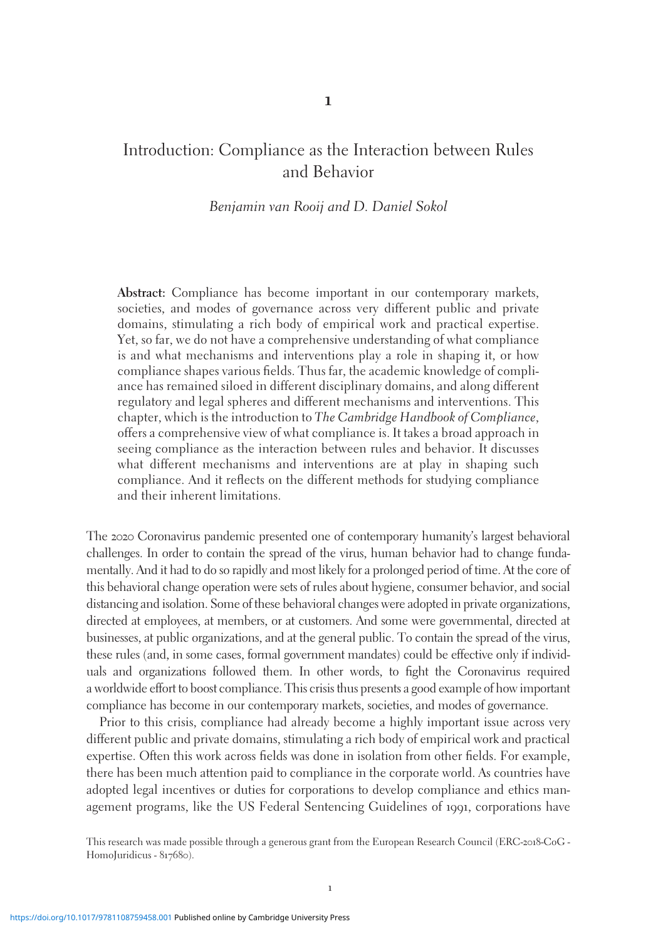### Introduction: Compliance as the Interaction between Rules and Behavior

#### Benjamin van Rooij and D. Daniel Sokol

Abstract: Compliance has become important in our contemporary markets, societies, and modes of governance across very different public and private domains, stimulating a rich body of empirical work and practical expertise. Yet, so far, we do not have a comprehensive understanding of what compliance is and what mechanisms and interventions play a role in shaping it, or how compliance shapes various fields. Thus far, the academic knowledge of compliance has remained siloed in different disciplinary domains, and along different regulatory and legal spheres and different mechanisms and interventions. This chapter, which is the introduction to The Cambridge Handbook of Compliance, offers a comprehensive view of what compliance is. It takes a broad approach in seeing compliance as the interaction between rules and behavior. It discusses what different mechanisms and interventions are at play in shaping such compliance. And it reflects on the different methods for studying compliance and their inherent limitations.

The 2020 Coronavirus pandemic presented one of contemporary humanity's largest behavioral challenges. In order to contain the spread of the virus, human behavior had to change fundamentally. And it had to do so rapidly and most likely for a prolonged period of time. At the core of this behavioral change operation were sets of rules about hygiene, consumer behavior, and social distancing and isolation. Some of these behavioral changes were adopted in private organizations, directed at employees, at members, or at customers. And some were governmental, directed at businesses, at public organizations, and at the general public. To contain the spread of the virus, these rules (and, in some cases, formal government mandates) could be effective only if individuals and organizations followed them. In other words, to fight the Coronavirus required a worldwide effort to boost compliance. This crisis thus presents a good example of how important compliance has become in our contemporary markets, societies, and modes of governance.

Prior to this crisis, compliance had already become a highly important issue across very different public and private domains, stimulating a rich body of empirical work and practical expertise. Often this work across fields was done in isolation from other fields. For example, there has been much attention paid to compliance in the corporate world. As countries have adopted legal incentives or duties for corporations to develop compliance and ethics management programs, like the US Federal Sentencing Guidelines of 1991, corporations have

This research was made possible through a generous grant from the European Research Council (ERC-2018-CoG - HomoJuridicus - 817680).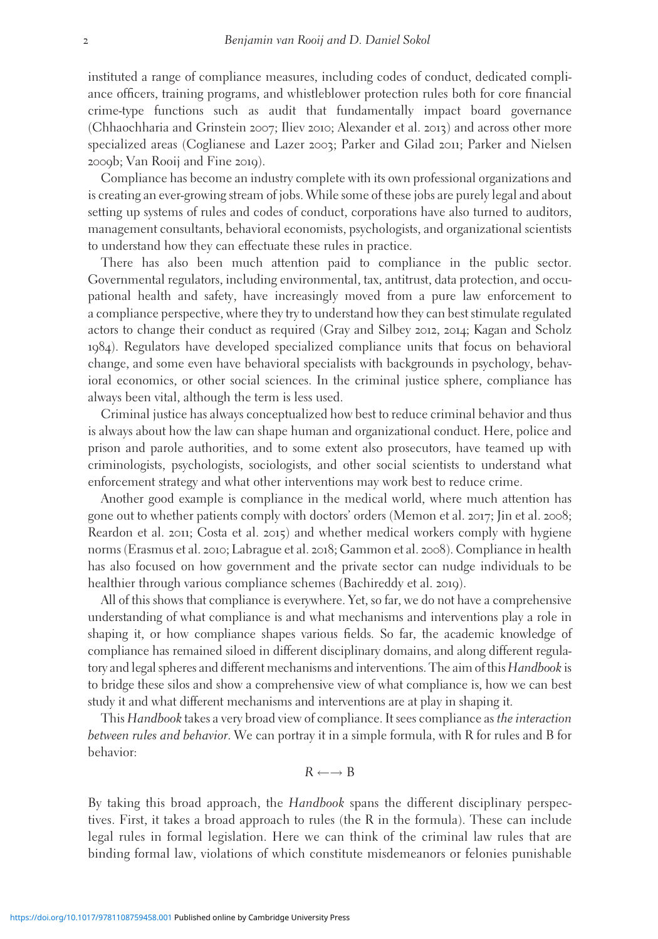instituted a range of compliance measures, including codes of conduct, dedicated compliance officers, training programs, and whistleblower protection rules both for core financial crime-type functions such as audit that fundamentally impact board governance (Chhaochharia and Grinstein 2007; Iliev 2010; Alexander et al. 2013) and across other more specialized areas (Coglianese and Lazer 2003; Parker and Gilad 2011; Parker and Nielsen 2009b; Van Rooij and Fine 2019).

Compliance has become an industry complete with its own professional organizations and is creating an ever-growing stream of jobs. While some of these jobs are purely legal and about setting up systems of rules and codes of conduct, corporations have also turned to auditors, management consultants, behavioral economists, psychologists, and organizational scientists to understand how they can effectuate these rules in practice.

There has also been much attention paid to compliance in the public sector. Governmental regulators, including environmental, tax, antitrust, data protection, and occupational health and safety, have increasingly moved from a pure law enforcement to a compliance perspective, where they try to understand how they can best stimulate regulated actors to change their conduct as required (Gray and Silbey 2012, 2014; Kagan and Scholz 1984). Regulators have developed specialized compliance units that focus on behavioral change, and some even have behavioral specialists with backgrounds in psychology, behavioral economics, or other social sciences. In the criminal justice sphere, compliance has always been vital, although the term is less used.

Criminal justice has always conceptualized how best to reduce criminal behavior and thus is always about how the law can shape human and organizational conduct. Here, police and prison and parole authorities, and to some extent also prosecutors, have teamed up with criminologists, psychologists, sociologists, and other social scientists to understand what enforcement strategy and what other interventions may work best to reduce crime.

Another good example is compliance in the medical world, where much attention has gone out to whether patients comply with doctors' orders (Memon et al. 2017; Jin et al. 2008; Reardon et al. 2011; Costa et al. 2015) and whether medical workers comply with hygiene norms (Erasmus et al. 2010; Labrague et al. 2018; Gammon et al. 2008). Compliance in health has also focused on how government and the private sector can nudge individuals to be healthier through various compliance schemes (Bachireddy et al. 2019).

All of this shows that compliance is everywhere. Yet, so far, we do not have a comprehensive understanding of what compliance is and what mechanisms and interventions play a role in shaping it, or how compliance shapes various fields. So far, the academic knowledge of compliance has remained siloed in different disciplinary domains, and along different regulatory and legal spheres and different mechanisms and interventions. The aim of this Handbook is to bridge these silos and show a comprehensive view of what compliance is, how we can best study it and what different mechanisms and interventions are at play in shaping it.

This Handbook takes a very broad view of compliance. It sees compliance as the interaction between rules and behavior. We can portray it in a simple formula, with R for rules and B for behavior:

$$
R \leftarrow \rightarrow B
$$

By taking this broad approach, the Handbook spans the different disciplinary perspectives. First, it takes a broad approach to rules (the R in the formula). These can include legal rules in formal legislation. Here we can think of the criminal law rules that are binding formal law, violations of which constitute misdemeanors or felonies punishable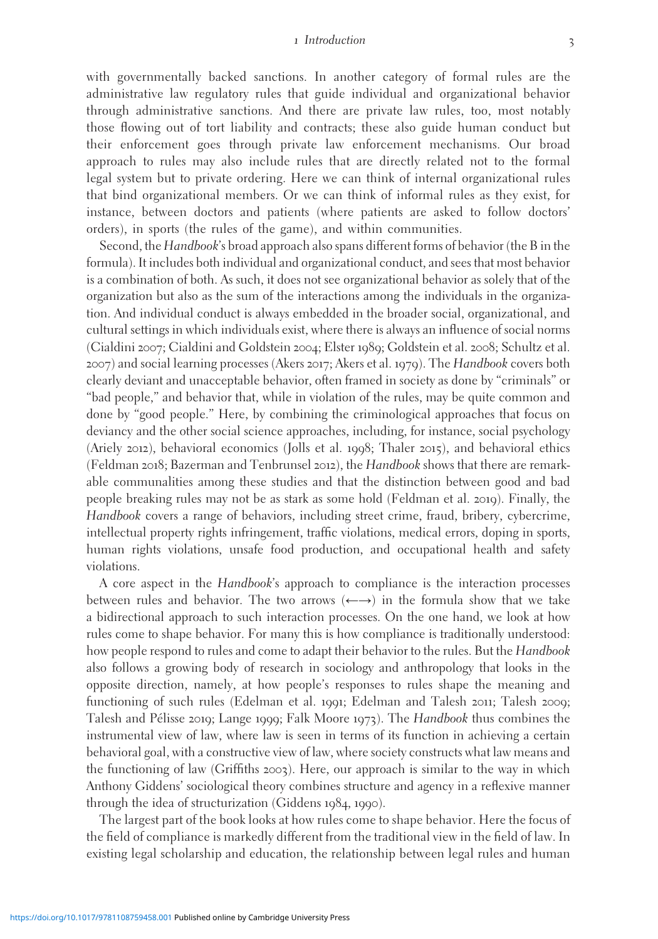#### 1 Introduction 3

with governmentally backed sanctions. In another category of formal rules are the administrative law regulatory rules that guide individual and organizational behavior through administrative sanctions. And there are private law rules, too, most notably those flowing out of tort liability and contracts; these also guide human conduct but their enforcement goes through private law enforcement mechanisms. Our broad approach to rules may also include rules that are directly related not to the formal legal system but to private ordering. Here we can think of internal organizational rules that bind organizational members. Or we can think of informal rules as they exist, for instance, between doctors and patients (where patients are asked to follow doctors' orders), in sports (the rules of the game), and within communities.

Second, the Handbook's broad approach also spans different forms of behavior (the B in the formula). It includes both individual and organizational conduct, and sees that most behavior is a combination of both. As such, it does not see organizational behavior as solely that of the organization but also as the sum of the interactions among the individuals in the organization. And individual conduct is always embedded in the broader social, organizational, and cultural settings in which individuals exist, where there is always an influence of social norms (Cialdini 2007; Cialdini and Goldstein 2004; Elster 1989; Goldstein et al. 2008; Schultz et al. 2007) and social learning processes (Akers 2017; Akers et al. 1979). The Handbook covers both clearly deviant and unacceptable behavior, often framed in society as done by "criminals" or "bad people," and behavior that, while in violation of the rules, may be quite common and done by "good people." Here, by combining the criminological approaches that focus on deviancy and the other social science approaches, including, for instance, social psychology (Ariely 2012), behavioral economics (Jolls et al. 1998; Thaler 2015), and behavioral ethics (Feldman 2018; Bazerman and Tenbrunsel 2012), the Handbook shows that there are remarkable communalities among these studies and that the distinction between good and bad people breaking rules may not be as stark as some hold (Feldman et al. 2019). Finally, the Handbook covers a range of behaviors, including street crime, fraud, bribery, cybercrime, intellectual property rights infringement, traffic violations, medical errors, doping in sports, human rights violations, unsafe food production, and occupational health and safety violations.

A core aspect in the Handbook's approach to compliance is the interaction processes between rules and behavior. The two arrows  $(\leftarrow \rightarrow)$  in the formula show that we take a bidirectional approach to such interaction processes. On the one hand, we look at how rules come to shape behavior. For many this is how compliance is traditionally understood: how people respond to rules and come to adapt their behavior to the rules. But the *Handbook* also follows a growing body of research in sociology and anthropology that looks in the opposite direction, namely, at how people's responses to rules shape the meaning and functioning of such rules (Edelman et al. 1991; Edelman and Talesh 2011; Talesh 2009; Talesh and Pélisse 2019; Lange 1999; Falk Moore 1973). The Handbook thus combines the instrumental view of law, where law is seen in terms of its function in achieving a certain behavioral goal, with a constructive view of law, where society constructs what law means and the functioning of law (Griffiths 2003). Here, our approach is similar to the way in which Anthony Giddens' sociological theory combines structure and agency in a reflexive manner through the idea of structurization (Giddens 1984, 1990).

The largest part of the book looks at how rules come to shape behavior. Here the focus of the field of compliance is markedly different from the traditional view in the field of law. In existing legal scholarship and education, the relationship between legal rules and human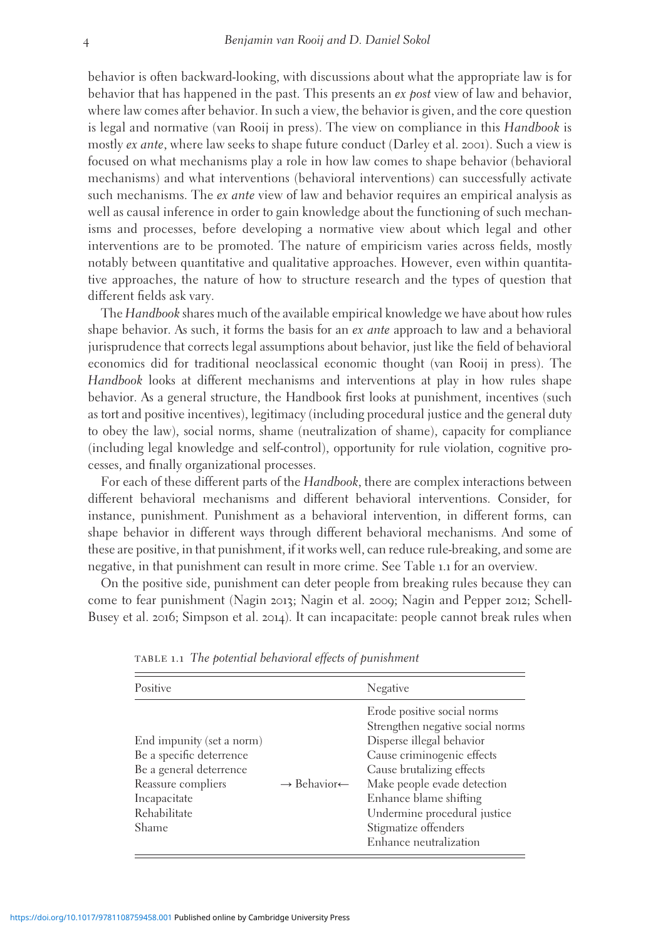behavior is often backward-looking, with discussions about what the appropriate law is for behavior that has happened in the past. This presents an *ex post* view of law and behavior, where law comes after behavior. In such a view, the behavior is given, and the core question is legal and normative (van Rooij in press). The view on compliance in this Handbook is mostly ex ante, where law seeks to shape future conduct (Darley et al. 2001). Such a view is focused on what mechanisms play a role in how law comes to shape behavior (behavioral mechanisms) and what interventions (behavioral interventions) can successfully activate such mechanisms. The *ex ante* view of law and behavior requires an empirical analysis as well as causal inference in order to gain knowledge about the functioning of such mechanisms and processes, before developing a normative view about which legal and other interventions are to be promoted. The nature of empiricism varies across fields, mostly notably between quantitative and qualitative approaches. However, even within quantitative approaches, the nature of how to structure research and the types of question that different fields ask vary.

The Handbook shares much of the available empirical knowledge we have about how rules shape behavior. As such, it forms the basis for an *ex ante* approach to law and a behavioral jurisprudence that corrects legal assumptions about behavior, just like the field of behavioral economics did for traditional neoclassical economic thought (van Rooij in press). The Handbook looks at different mechanisms and interventions at play in how rules shape behavior. As a general structure, the Handbook first looks at punishment, incentives (such as tort and positive incentives), legitimacy (including procedural justice and the general duty to obey the law), social norms, shame (neutralization of shame), capacity for compliance (including legal knowledge and self-control), opportunity for rule violation, cognitive processes, and finally organizational processes.

For each of these different parts of the Handbook, there are complex interactions between different behavioral mechanisms and different behavioral interventions. Consider, for instance, punishment. Punishment as a behavioral intervention, in different forms, can shape behavior in different ways through different behavioral mechanisms. And some of these are positive, in that punishment, if it works well, can reduce rule-breaking, and some are negative, in that punishment can result in more crime. See Table 1.1 for an overview.

On the positive side, punishment can deter people from breaking rules because they can come to fear punishment (Nagin 2013; Nagin et al. 2009; Nagin and Pepper 2012; Schell-Busey et al. 2016; Simpson et al. 2014). It can incapacitate: people cannot break rules when

| Positive                                                                                                                                               |                                     | Negative                                                                                                                                                                                                                                                                                           |
|--------------------------------------------------------------------------------------------------------------------------------------------------------|-------------------------------------|----------------------------------------------------------------------------------------------------------------------------------------------------------------------------------------------------------------------------------------------------------------------------------------------------|
| End impunity (set a norm)<br>Be a specific deterrence<br>Be a general deterrence<br>Reassure compliers<br>Incapacitate<br>Rehabilitate<br><b>Shame</b> | $\rightarrow$ Behavior $\leftarrow$ | Erode positive social norms<br>Strengthen negative social norms<br>Disperse illegal behavior<br>Cause criminogenic effects<br>Cause brutalizing effects<br>Make people evade detection<br>Enhance blame shifting<br>Undermine procedural justice<br>Stigmatize offenders<br>Enhance neutralization |

table 1.1 The potential behavioral effects of punishment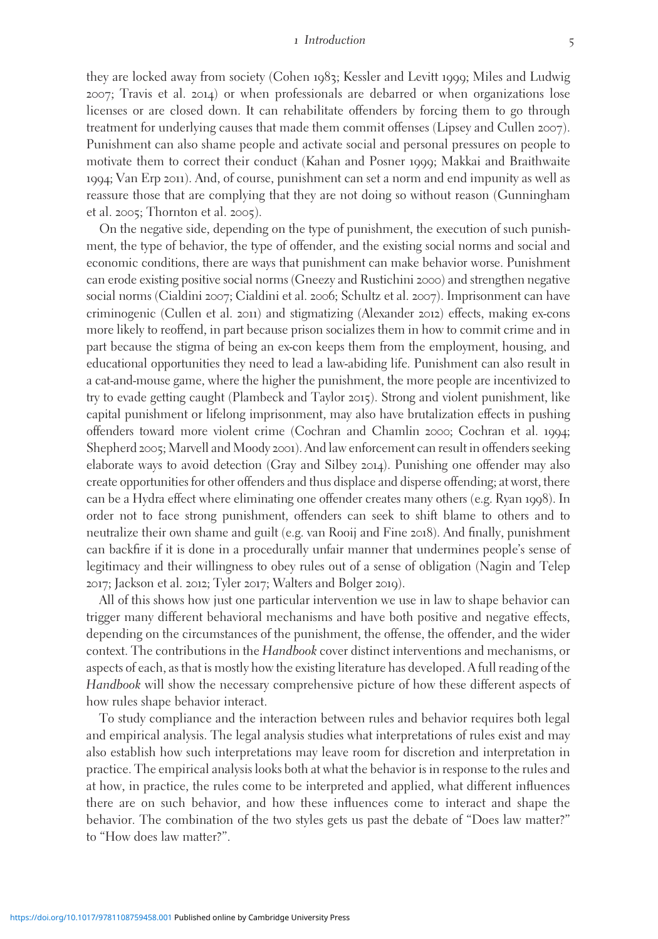#### 1 Introduction 5

they are locked away from society (Cohen 1983; Kessler and Levitt 1999; Miles and Ludwig 2007; Travis et al. 2014) or when professionals are debarred or when organizations lose licenses or are closed down. It can rehabilitate offenders by forcing them to go through treatment for underlying causes that made them commit offenses (Lipsey and Cullen 2007). Punishment can also shame people and activate social and personal pressures on people to motivate them to correct their conduct (Kahan and Posner 1999; Makkai and Braithwaite 1994; Van Erp 2011). And, of course, punishment can set a norm and end impunity as well as reassure those that are complying that they are not doing so without reason (Gunningham et al. 2005; Thornton et al. 2005).

On the negative side, depending on the type of punishment, the execution of such punishment, the type of behavior, the type of offender, and the existing social norms and social and economic conditions, there are ways that punishment can make behavior worse. Punishment can erode existing positive social norms (Gneezy and Rustichini 2000) and strengthen negative social norms (Cialdini 2007; Cialdini et al. 2006; Schultz et al. 2007). Imprisonment can have criminogenic (Cullen et al. 2011) and stigmatizing (Alexander 2012) effects, making ex-cons more likely to reoffend, in part because prison socializes them in how to commit crime and in part because the stigma of being an ex-con keeps them from the employment, housing, and educational opportunities they need to lead a law-abiding life. Punishment can also result in a cat-and-mouse game, where the higher the punishment, the more people are incentivized to try to evade getting caught (Plambeck and Taylor 2015). Strong and violent punishment, like capital punishment or lifelong imprisonment, may also have brutalization effects in pushing offenders toward more violent crime (Cochran and Chamlin 2000; Cochran et al. 1994; Shepherd 2005; Marvell and Moody 2001). And law enforcement can result in offenders seeking elaborate ways to avoid detection (Gray and Silbey 2014). Punishing one offender may also create opportunities for other offenders and thus displace and disperse offending; at worst, there can be a Hydra effect where eliminating one offender creates many others (e.g. Ryan 1998). In order not to face strong punishment, offenders can seek to shift blame to others and to neutralize their own shame and guilt (e.g. van Rooij and Fine 2018). And finally, punishment can backfire if it is done in a procedurally unfair manner that undermines people's sense of legitimacy and their willingness to obey rules out of a sense of obligation (Nagin and Telep 2017; Jackson et al. 2012; Tyler 2017; Walters and Bolger 2019).

All of this shows how just one particular intervention we use in law to shape behavior can trigger many different behavioral mechanisms and have both positive and negative effects, depending on the circumstances of the punishment, the offense, the offender, and the wider context. The contributions in the Handbook cover distinct interventions and mechanisms, or aspects of each, as that is mostly how the existing literature has developed. A full reading of the Handbook will show the necessary comprehensive picture of how these different aspects of how rules shape behavior interact.

To study compliance and the interaction between rules and behavior requires both legal and empirical analysis. The legal analysis studies what interpretations of rules exist and may also establish how such interpretations may leave room for discretion and interpretation in practice. The empirical analysis looks both at what the behavior is in response to the rules and at how, in practice, the rules come to be interpreted and applied, what different influences there are on such behavior, and how these influences come to interact and shape the behavior. The combination of the two styles gets us past the debate of "Does law matter?" to "How does law matter?".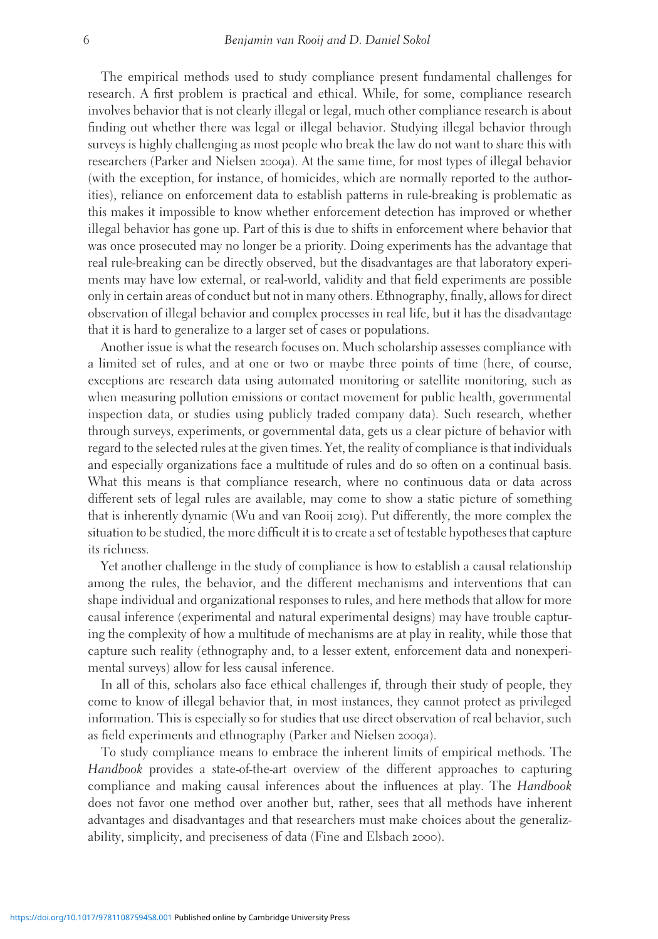The empirical methods used to study compliance present fundamental challenges for research. A first problem is practical and ethical. While, for some, compliance research involves behavior that is not clearly illegal or legal, much other compliance research is about finding out whether there was legal or illegal behavior. Studying illegal behavior through surveys is highly challenging as most people who break the law do not want to share this with researchers (Parker and Nielsen 2009a). At the same time, for most types of illegal behavior (with the exception, for instance, of homicides, which are normally reported to the authorities), reliance on enforcement data to establish patterns in rule-breaking is problematic as this makes it impossible to know whether enforcement detection has improved or whether illegal behavior has gone up. Part of this is due to shifts in enforcement where behavior that was once prosecuted may no longer be a priority. Doing experiments has the advantage that real rule-breaking can be directly observed, but the disadvantages are that laboratory experiments may have low external, or real-world, validity and that field experiments are possible only in certain areas of conduct but not in many others. Ethnography, finally, allows for direct observation of illegal behavior and complex processes in real life, but it has the disadvantage that it is hard to generalize to a larger set of cases or populations.

Another issue is what the research focuses on. Much scholarship assesses compliance with a limited set of rules, and at one or two or maybe three points of time (here, of course, exceptions are research data using automated monitoring or satellite monitoring, such as when measuring pollution emissions or contact movement for public health, governmental inspection data, or studies using publicly traded company data). Such research, whether through surveys, experiments, or governmental data, gets us a clear picture of behavior with regard to the selected rules at the given times. Yet, the reality of compliance is that individuals and especially organizations face a multitude of rules and do so often on a continual basis. What this means is that compliance research, where no continuous data or data across different sets of legal rules are available, may come to show a static picture of something that is inherently dynamic (Wu and van Rooij 2019). Put differently, the more complex the situation to be studied, the more difficult it is to create a set of testable hypotheses that capture its richness.

Yet another challenge in the study of compliance is how to establish a causal relationship among the rules, the behavior, and the different mechanisms and interventions that can shape individual and organizational responses to rules, and here methods that allow for more causal inference (experimental and natural experimental designs) may have trouble capturing the complexity of how a multitude of mechanisms are at play in reality, while those that capture such reality (ethnography and, to a lesser extent, enforcement data and nonexperimental surveys) allow for less causal inference.

In all of this, scholars also face ethical challenges if, through their study of people, they come to know of illegal behavior that, in most instances, they cannot protect as privileged information. This is especially so for studies that use direct observation of real behavior, such as field experiments and ethnography (Parker and Nielsen 2009a).

To study compliance means to embrace the inherent limits of empirical methods. The Handbook provides a state-of-the-art overview of the different approaches to capturing compliance and making causal inferences about the influences at play. The Handbook does not favor one method over another but, rather, sees that all methods have inherent advantages and disadvantages and that researchers must make choices about the generalizability, simplicity, and preciseness of data (Fine and Elsbach 2000).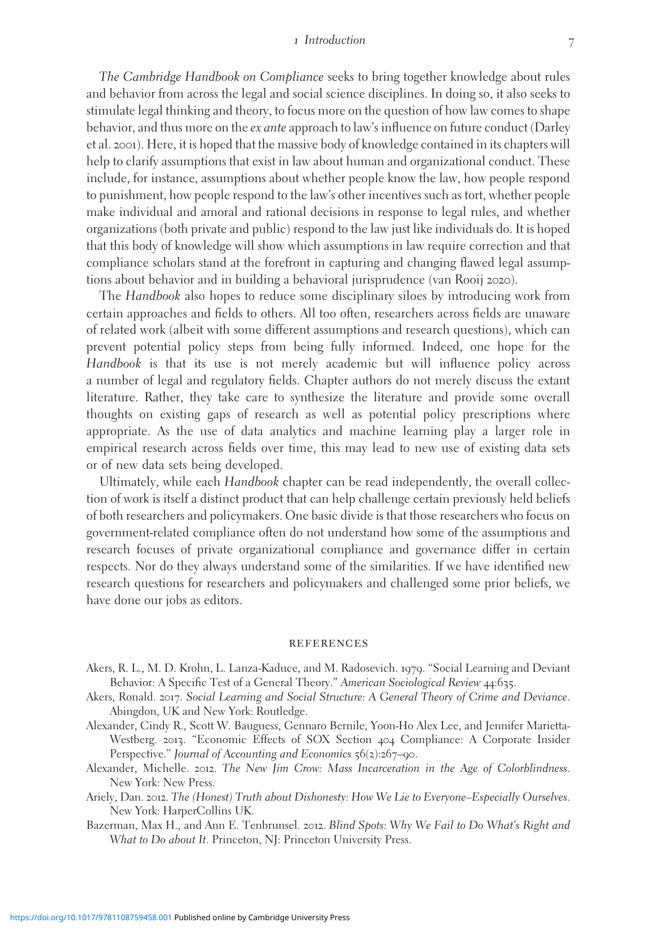#### 1 Introduction 7

The Cambridge Handbook on Compliance seeks to bring together knowledge about rules and behavior from across the legal and social science disciplines. In doing so, it also seeks to stimulate legal thinking and theory, to focus more on the question of how law comes to shape behavior, and thus more on the ex ante approach to law's influence on future conduct (Darley et al. 2001). Here, it is hoped that the massive body of knowledge contained in its chapters will help to clarify assumptions that exist in law about human and organizational conduct. These include, for instance, assumptions about whether people know the law, how people respond to punishment, how people respond to the law's other incentives such as tort, whether people make individual and amoral and rational decisions in response to legal rules, and whether organizations (both private and public) respond to the law just like individuals do. It is hoped that this body of knowledge will show which assumptions in law require correction and that compliance scholars stand at the forefront in capturing and changing flawed legal assumptions about behavior and in building a behavioral jurisprudence (van Rooij 2020).

The Handbook also hopes to reduce some disciplinary siloes by introducing work from certain approaches and fields to others. All too often, researchers across fields are unaware of related work (albeit with some different assumptions and research questions), which can prevent potential policy steps from being fully informed. Indeed, one hope for the Handbook is that its use is not merely academic but will influence policy across a number of legal and regulatory fields. Chapter authors do not merely discuss the extant literature. Rather, they take care to synthesize the literature and provide some overall thoughts on existing gaps of research as well as potential policy prescriptions where appropriate. As the use of data analytics and machine learning play a larger role in empirical research across fields over time, this may lead to new use of existing data sets or of new data sets being developed.

Ultimately, while each Handbook chapter can be read independently, the overall collection of work is itself a distinct product that can help challenge certain previously held beliefs of both researchers and policymakers. One basic divide is that those researchers who focus on government-related compliance often do not understand how some of the assumptions and research focuses of private organizational compliance and governance differ in certain respects. Nor do they always understand some of the similarities. If we have identified new research questions for researchers and policymakers and challenged some prior beliefs, we have done our jobs as editors.

#### **REFERENCES**

- Akers, R. L., M. D. Krohn, L. Lanza-Kaduce, and M. Radosevich. 1979. "Social Learning and Deviant Behavior: A Specific Test of a General Theory." American Sociological Review 44:635.
- Akers, Ronald. 2017. Social Learning and Social Structure: A General Theory of Crime and Deviance. Abingdon, UK and New York: Routledge.
- Alexander, Cindy R., Scott W. Bauguess, Gennaro Bernile, Yoon-Ho Alex Lee, and Jennifer Marietta-Westberg. 2013. "Economic Effects of SOX Section 404 Compliance: A Corporate Insider Perspective." Journal of Accounting and Economics 56(2):267–90.
- Alexander, Michelle. 2012. The New Jim Crow: Mass Incarceration in the Age of Colorblindness. New York: New Press.
- Ariely, Dan. 2012. The (Honest) Truth about Dishonesty: How We Lie to Everyone–Especially Ourselves. New York: HarperCollins UK.

Bazerman, Max H., and Ann E. Tenbrunsel. 2012. Blind Spots: Why We Fail to Do What's Right and What to Do about It. Princeton, NJ: Princeton University Press.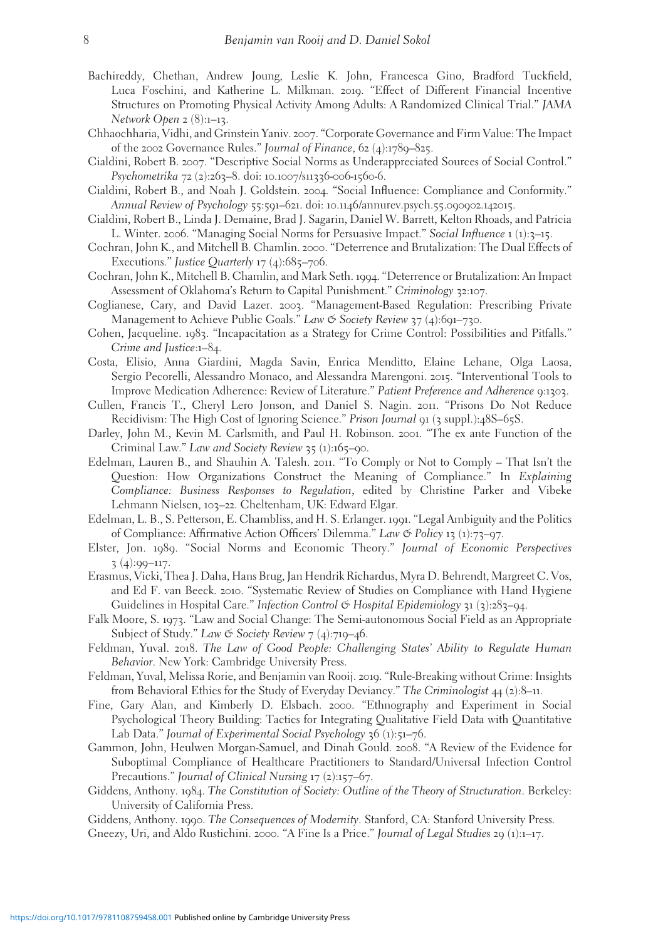- Bachireddy, Chethan, Andrew Joung, Leslie K. John, Francesca Gino, Bradford Tuckfield, Luca Foschini, and Katherine L. Milkman. 2019. "Effect of Different Financial Incentive Structures on Promoting Physical Activity Among Adults: A Randomized Clinical Trial." JAMA Network Open  $2(8):1-13$ .
- Chhaochharia, Vidhi, and Grinstein Yaniv. 2007. "Corporate Governance and Firm Value: The Impact of the 2002 Governance Rules." Journal of Finance, 62 (4):1789–825.
- Cialdini, Robert B. 2007. "Descriptive Social Norms as Underappreciated Sources of Social Control." Psychometrika 72 (2):263-8. doi: 10.1007/s11336-006-1560-6.
- Cialdini, Robert B., and Noah J. Goldstein. 2004. "Social Influence: Compliance and Conformity." Annual Review of Psychology 55:591–621. doi: 10.1146/annurev.psych.55.090902.142015.
- Cialdini, Robert B., Linda J. Demaine, Brad J. Sagarin, Daniel W. Barrett, Kelton Rhoads, and Patricia L. Winter. 2006. "Managing Social Norms for Persuasive Impact." Social Influence 1 (1):3–15.
- Cochran, John K., and Mitchell B. Chamlin. 2000. "Deterrence and Brutalization: The Dual Effects of Executions." Justice Quarterly  $17$  (4):685–706.
- Cochran, John K., Mitchell B. Chamlin, and Mark Seth. 1994. "Deterrence or Brutalization: An Impact Assessment of Oklahoma's Return to Capital Punishment." Criminology 32:107.
- Coglianese, Cary, and David Lazer. 2003. "Management-Based Regulation: Prescribing Private Management to Achieve Public Goals." Law & Society Review 37 (4):691-730.
- Cohen, Jacqueline. 1983. "Incapacitation as a Strategy for Crime Control: Possibilities and Pitfalls." Crime and Justice:1–84.
- Costa, Elisio, Anna Giardini, Magda Savin, Enrica Menditto, Elaine Lehane, Olga Laosa, Sergio Pecorelli, Alessandro Monaco, and Alessandra Marengoni. 2015. "Interventional Tools to Improve Medication Adherence: Review of Literature." Patient Preference and Adherence 9:1303.
- Cullen, Francis T., Cheryl Lero Jonson, and Daniel S. Nagin. 2011. "Prisons Do Not Reduce Recidivism: The High Cost of Ignoring Science." Prison Journal 91 (3 suppl.):48S-65S.
- Darley, John M., Kevin M. Carlsmith, and Paul H. Robinson. 2001. "The ex ante Function of the Criminal Law." Law and Society Review 35 (1):165–90.
- Edelman, Lauren B., and Shauhin A. Talesh. 2011. "To Comply or Not to Comply That Isn't the Question: How Organizations Construct the Meaning of Compliance." In Explaining Compliance: Business Responses to Regulation, edited by Christine Parker and Vibeke Lehmann Nielsen, 103–22. Cheltenham, UK: Edward Elgar.
- Edelman, L. B., S. Petterson, E. Chambliss, and H. S. Erlanger. 1991. "Legal Ambiguity and the Politics of Compliance: Affirmative Action Officers' Dilemma." Law & Policy 13 (1):73–97.
- Elster, Jon. 1989. "Social Norms and Economic Theory." Journal of Economic Perspectives  $3(4):99-117.$
- Erasmus, Vicki, Thea J. Daha, Hans Brug, Jan Hendrik Richardus, Myra D. Behrendt, Margreet C. Vos, and Ed F. van Beeck. 2010. "Systematic Review of Studies on Compliance with Hand Hygiene Guidelines in Hospital Care." Infection Control & Hospital Epidemiology 31 (3):283-94.
- Falk Moore, S. 1973. "Law and Social Change: The Semi-autonomous Social Field as an Appropriate Subject of Study." Law  $\mathfrak{S}$  Society Review  $7(4)$ :719–46.
- Feldman, Yuval. 2018. The Law of Good People: Challenging States' Ability to Regulate Human Behavior. New York: Cambridge University Press.
- Feldman, Yuval, Melissa Rorie, and Benjamin van Rooij. 2019. "Rule-Breaking without Crime: Insights from Behavioral Ethics for the Study of Everyday Deviancy." The Criminologist 44 (2):8–11.
- Fine, Gary Alan, and Kimberly D. Elsbach. 2000. "Ethnography and Experiment in Social Psychological Theory Building: Tactics for Integrating Qualitative Field Data with Quantitative Lab Data." Journal of Experimental Social Psychology 36 (1):51-76.
- Gammon, John, Heulwen Morgan-Samuel, and Dinah Gould. 2008. "A Review of the Evidence for Suboptimal Compliance of Healthcare Practitioners to Standard/Universal Infection Control Precautions." Journal of Clinical Nursing 17 (2):157–67.
- Giddens, Anthony. 1984. The Constitution of Society: Outline of the Theory of Structuration. Berkeley: University of California Press.
- Giddens, Anthony. 1990. The Consequences of Modernity. Stanford, CA: Stanford University Press. Gneezy, Uri, and Aldo Rustichini. 2000. "A Fine Is a Price." Journal of Legal Studies 29 (1):1-17.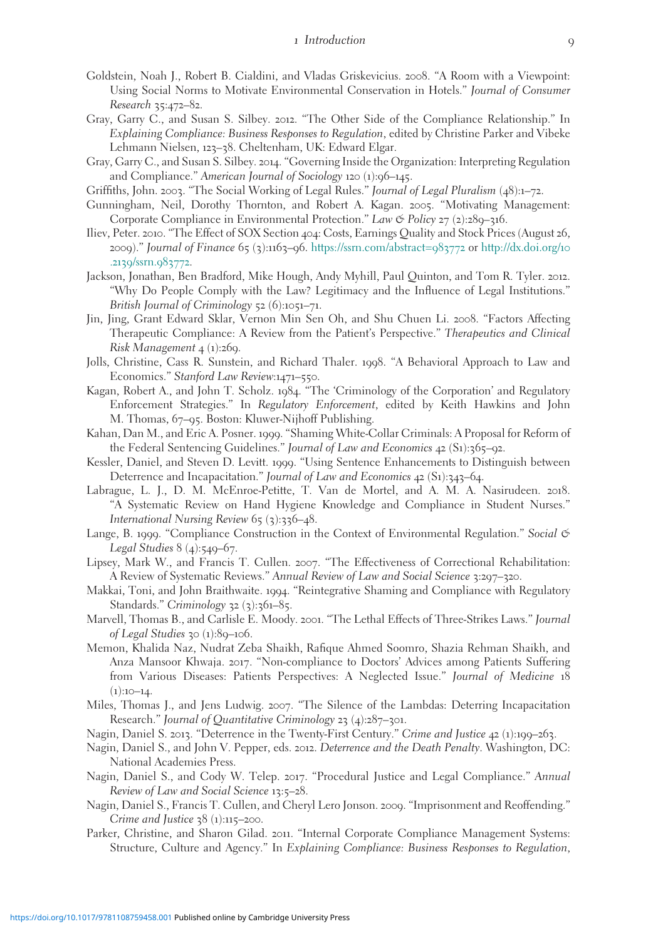- Goldstein, Noah J., Robert B. Cialdini, and Vladas Griskevicius. 2008. "A Room with a Viewpoint: Using Social Norms to Motivate Environmental Conservation in Hotels." Journal of Consumer Research 35:472–82.
- Gray, Garry C., and Susan S. Silbey. 2012. "The Other Side of the Compliance Relationship." In Explaining Compliance: Business Responses to Regulation, edited by Christine Parker and Vibeke Lehmann Nielsen, 123–38. Cheltenham, UK: Edward Elgar.
- Gray, Garry C., and Susan S. Silbey. 2014. "Governing Inside the Organization: Interpreting Regulation and Compliance." American Journal of Sociology 120 (1):96–145.
- Griffiths, John. 2003. "The Social Working of Legal Rules." Journal of Legal Pluralism (48):1–72.
- Gunningham, Neil, Dorothy Thornton, and Robert A. Kagan. 2005. "Motivating Management: Corporate Compliance in Environmental Protection." Law & Policy 27 (2):289–316.
- Iliev, Peter. 2010. "The Effect of SOX Section 404: Costs, Earnings Quality and Stock Prices (August 26, 2009)." Journal of Finance 65 (3):1163–96. [https://ssrn.com/abstract=](https://ssrn.com/abstract=983772)983772 or [http://dx.doi.org/](http://dx.doi.org/10.2139/ssrn.983772)10 .2139/ssrn.[983772](http://dx.doi.org/10.2139/ssrn.983772).
- Jackson, Jonathan, Ben Bradford, Mike Hough, Andy Myhill, Paul Quinton, and Tom R. Tyler. 2012. "Why Do People Comply with the Law? Legitimacy and the Influence of Legal Institutions." British Journal of Criminology 52 (6):1051–71.
- Jin, Jing, Grant Edward Sklar, Vernon Min Sen Oh, and Shu Chuen Li. 2008. "Factors Affecting Therapeutic Compliance: A Review from the Patient's Perspective." Therapeutics and Clinical Risk Management  $4 \frac{1}{269}$ .
- Jolls, Christine, Cass R. Sunstein, and Richard Thaler. 1998. "A Behavioral Approach to Law and Economics." Stanford Law Review:1471–550.
- Kagan, Robert A., and John T. Scholz. 1984. "The 'Criminology of the Corporation' and Regulatory Enforcement Strategies." In Regulatory Enforcement, edited by Keith Hawkins and John M. Thomas, 67–95. Boston: Kluwer-Nijhoff Publishing.
- Kahan, Dan M., and Eric A. Posner. 1999. "Shaming White-Collar Criminals: A Proposal for Reform of the Federal Sentencing Guidelines." Journal of Law and Economics 42 (S1):365-92.
- Kessler, Daniel, and Steven D. Levitt. 1999. "Using Sentence Enhancements to Distinguish between Deterrence and Incapacitation." Journal of Law and Economics 42 (S1):343-64.
- Labrague, L. J., D. M. McEnroe-Petitte, T. Van de Mortel, and A. M. A. Nasirudeen. 2018. "A Systematic Review on Hand Hygiene Knowledge and Compliance in Student Nurses." International Nursing Review 65 (3):336–48.
- Lange, B. 1999. "Compliance Construction in the Context of Environmental Regulation." Social & Legal Studies 8 (4):549–67.
- Lipsey, Mark W., and Francis T. Cullen. 2007. "The Effectiveness of Correctional Rehabilitation: A Review of Systematic Reviews." Annual Review of Law and Social Science 3:297-320.
- Makkai, Toni, and John Braithwaite. 1994. "Reintegrative Shaming and Compliance with Regulatory Standards." Criminology 32 (3):361-85.
- Marvell, Thomas B., and Carlisle E. Moody. 2001. "The Lethal Effects of Three-Strikes Laws." Journal of Legal Studies 30  $(1):89-106$ .
- Memon, Khalida Naz, Nudrat Zeba Shaikh, Rafique Ahmed Soomro, Shazia Rehman Shaikh, and Anza Mansoor Khwaja. 2017. "Non-compliance to Doctors' Advices among Patients Suffering from Various Diseases: Patients Perspectives: A Neglected Issue." Journal of Medicine 18  $(1):10-14.$
- Miles, Thomas J., and Jens Ludwig. 2007. "The Silence of the Lambdas: Deterring Incapacitation Research." Journal of Quantitative Criminology 23 (4):287–301.
- Nagin, Daniel S. 2013. "Deterrence in the Twenty-First Century." Crime and Justice 42 (1):199–263.
- Nagin, Daniel S., and John V. Pepper, eds. 2012. Deterrence and the Death Penalty. Washington, DC: National Academies Press.
- Nagin, Daniel S., and Cody W. Telep. 2017. "Procedural Justice and Legal Compliance." Annual Review of Law and Social Science 13:5–28.
- Nagin, Daniel S., Francis T. Cullen, and Cheryl Lero Jonson. 2009. "Imprisonment and Reoffending." Crime and Justice  $38$  (1):115–200.
- Parker, Christine, and Sharon Gilad. 2011. "Internal Corporate Compliance Management Systems: Structure, Culture and Agency." In Explaining Compliance: Business Responses to Regulation,